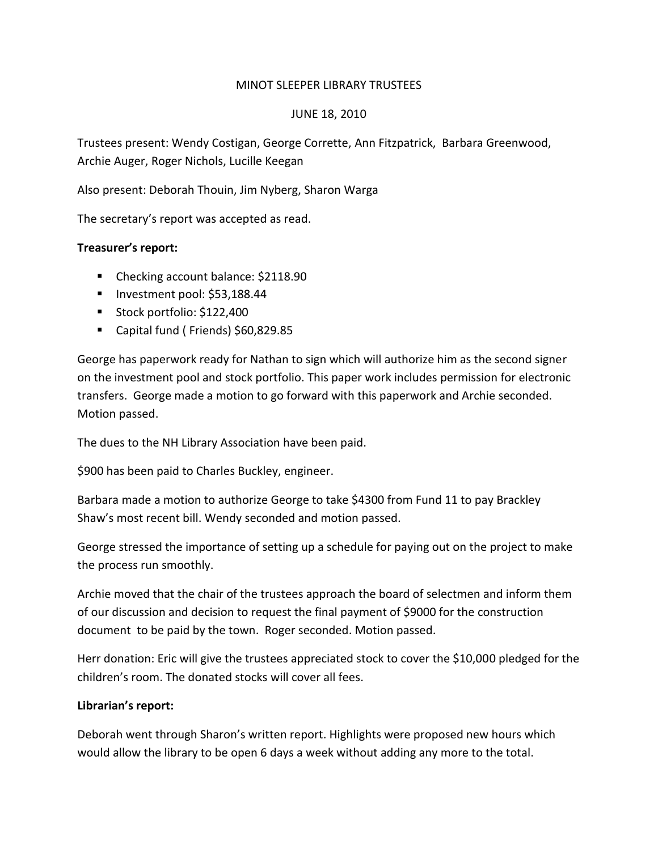# MINOT SLEEPER LIBRARY TRUSTEES

### JUNE 18, 2010

Trustees present: Wendy Costigan, George Corrette, Ann Fitzpatrick, Barbara Greenwood, Archie Auger, Roger Nichols, Lucille Keegan

Also present: Deborah Thouin, Jim Nyberg, Sharon Warga

The secretary's report was accepted as read.

# **Treasurer's report:**

- Checking account balance: \$2118.90
- Investment pool: \$53,188.44
- Stock portfolio: \$122,400
- Capital fund ( Friends) \$60,829.85

George has paperwork ready for Nathan to sign which will authorize him as the second signer on the investment pool and stock portfolio. This paper work includes permission for electronic transfers. George made a motion to go forward with this paperwork and Archie seconded. Motion passed.

The dues to the NH Library Association have been paid.

\$900 has been paid to Charles Buckley, engineer.

Barbara made a motion to authorize George to take \$4300 from Fund 11 to pay Brackley Shaw's most recent bill. Wendy seconded and motion passed.

George stressed the importance of setting up a schedule for paying out on the project to make the process run smoothly.

Archie moved that the chair of the trustees approach the board of selectmen and inform them of our discussion and decision to request the final payment of \$9000 for the construction document to be paid by the town. Roger seconded. Motion passed.

Herr donation: Eric will give the trustees appreciated stock to cover the \$10,000 pledged for the children's room. The donated stocks will cover all fees.

# **Librarian's report:**

Deborah went through Sharon's written report. Highlights were proposed new hours which would allow the library to be open 6 days a week without adding any more to the total.